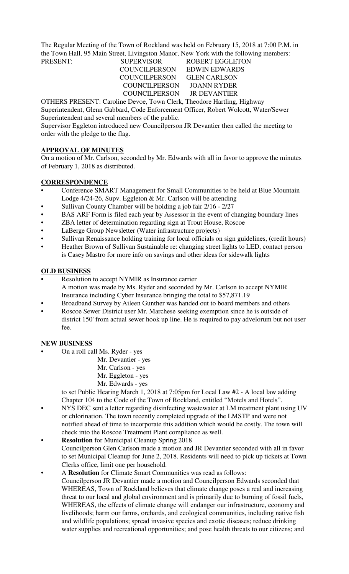The Regular Meeting of the Town of Rockland was held on February 15, 2018 at 7:00 P.M. in the Town Hall, 95 Main Street, Livingston Manor, New York with the following members:

### PRESENT: SUPERVISOR ROBERT EGGLETON COUNCILPERSON EDWIN EDWARDS COUNCILPERSON GLEN CARLSON COUNCILPERSON JOANN RYDER COUNCILPERSON JR DEVANTIER

OTHERS PRESENT: Caroline Devoe, Town Clerk, Theodore Hartling, Highway Superintendent, Glenn Gabbard, Code Enforcement Officer, Robert Wolcott, Water/Sewer Superintendent and several members of the public.

Supervisor Eggleton introduced new Councilperson JR Devantier then called the meeting to order with the pledge to the flag.

# **APPROVAL OF MINUTES**

On a motion of Mr. Carlson, seconded by Mr. Edwards with all in favor to approve the minutes of February 1, 2018 as distributed.

# **CORRESPONDENCE**

- Conference SMART Management for Small Communities to be held at Blue Mountain Lodge 4/24-26, Supv. Eggleton & Mr. Carlson will be attending
- Sullivan County Chamber will be holding a job fair 2/16 2/27
- BAS ARF Form is filed each year by Assessor in the event of changing boundary lines
- ZBA letter of determination regarding sign at Trout House, Roscoe
- LaBerge Group Newsletter (Water infrastructure projects)
- Sullivan Renaissance holding training for local officials on sign guidelines, (credit hours)
- Heather Brown of Sullivan Sustainable re: changing street lights to LED, contact person is Casey Mastro for more info on savings and other ideas for sidewalk lights

# **OLD BUSINESS**

- Resolution to accept NYMIR as Insurance carrier A motion was made by Ms. Ryder and seconded by Mr. Carlson to accept NYMIR Insurance including Cyber Insurance bringing the total to \$57,871.19
- Broadband Survey by Aileen Gunther was handed out to board members and others
- Roscoe Sewer District user Mr. Marchese seeking exemption since he is outside of district 150' from actual sewer hook up line. He is required to pay advelorum but not user fee.

## **NEW BUSINESS**

- On a roll call Ms. Ryder yes
	- Mr. Devantier yes
	- Mr. Carlson yes
	- Mr. Eggleton yes
	- Mr. Edwards yes

to set Public Hearing March 1, 2018 at 7:05pm for Local Law #2 - A local law adding Chapter 104 to the Code of the Town of Rockland, entitled "Motels and Hotels".

- NYS DEC sent a letter regarding disinfecting wastewater at LM treatment plant using UV or chlorination. The town recently completed upgrade of the LMSTP and were not notified ahead of time to incorporate this addition which would be costly. The town will check into the Roscoe Treatment Plant compliance as well.
- **Resolution** for Municipal Cleanup Spring 2018 Councilperson Glen Carlson made a motion and JR Devantier seconded with all in favor to set Municipal Cleanup for June 2, 2018. Residents will need to pick up tickets at Town Clerks office, limit one per household.
- A **Resolution** for Climate Smart Communities was read as follows: Councilperson JR Devantier made a motion and Councilperson Edwards seconded that WHEREAS, Town of Rockland believes that climate change poses a real and increasing threat to our local and global environment and is primarily due to burning of fossil fuels, WHEREAS, the effects of climate change will endanger our infrastructure, economy and livelihoods; harm our farms, orchards, and ecological communities, including native fish and wildlife populations; spread invasive species and exotic diseases; reduce drinking water supplies and recreational opportunities; and pose health threats to our citizens; and